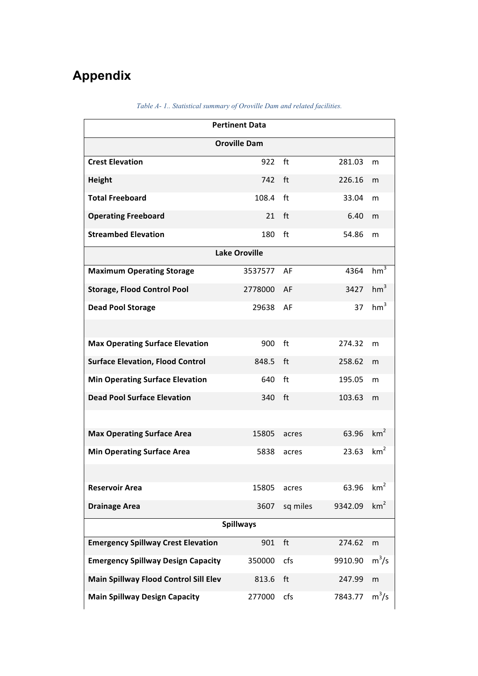## **Appendix**

| <b>Pertinent Data</b>                     |            |          |         |                 |  |  |  |  |  |
|-------------------------------------------|------------|----------|---------|-----------------|--|--|--|--|--|
| <b>Oroville Dam</b>                       |            |          |         |                 |  |  |  |  |  |
| <b>Crest Elevation</b>                    | 922        | ft       | 281.03  | m               |  |  |  |  |  |
| <b>Height</b>                             | 742        | ft       | 226.16  | m               |  |  |  |  |  |
| <b>Total Freeboard</b>                    | 108.4      | ft       | 33.04   | m               |  |  |  |  |  |
| <b>Operating Freeboard</b>                | 21         | ft       | 6.40    | m               |  |  |  |  |  |
| <b>Streambed Elevation</b>                | 180        | ft       | 54.86   | m               |  |  |  |  |  |
| <b>Lake Oroville</b>                      |            |          |         |                 |  |  |  |  |  |
| <b>Maximum Operating Storage</b>          | 3537577 AF |          | 4364    | hm <sup>3</sup> |  |  |  |  |  |
| <b>Storage, Flood Control Pool</b>        | 2778000 AF |          | 3427    | hm <sup>3</sup> |  |  |  |  |  |
| <b>Dead Pool Storage</b>                  | 29638 AF   |          | 37      | hm <sup>3</sup> |  |  |  |  |  |
|                                           |            |          |         |                 |  |  |  |  |  |
| <b>Max Operating Surface Elevation</b>    | 900        | ft       | 274.32  | m               |  |  |  |  |  |
| <b>Surface Elevation, Flood Control</b>   | 848.5      | ft       | 258.62  | m               |  |  |  |  |  |
| <b>Min Operating Surface Elevation</b>    | 640        | ft       | 195.05  | m               |  |  |  |  |  |
| <b>Dead Pool Surface Elevation</b>        | 340 ft     |          | 103.63  | m               |  |  |  |  |  |
|                                           |            |          |         |                 |  |  |  |  |  |
| <b>Max Operating Surface Area</b>         | 15805      | acres    | 63.96   | km <sup>2</sup> |  |  |  |  |  |
| <b>Min Operating Surface Area</b>         | 5838       | acres    | 23.63   | km <sup>2</sup> |  |  |  |  |  |
|                                           |            |          |         |                 |  |  |  |  |  |
| <b>Reservoir Area</b>                     | 15805      | acres    | 63.96   | km <sup>2</sup> |  |  |  |  |  |
| <b>Drainage Area</b>                      | 3607       | sq miles | 9342.09 | km <sup>2</sup> |  |  |  |  |  |
| <b>Spillways</b>                          |            |          |         |                 |  |  |  |  |  |
| <b>Emergency Spillway Crest Elevation</b> | 901        | ft       | 274.62  | m               |  |  |  |  |  |
| <b>Emergency Spillway Design Capacity</b> | 350000     | cfs      | 9910.90 | $m^3/s$         |  |  |  |  |  |
| Main Spillway Flood Control Sill Elev     | 813.6      | ft       | 247.99  | m               |  |  |  |  |  |
| <b>Main Spillway Design Capacity</b>      | 277000     | cfs      | 7843.77 | $m^3/s$         |  |  |  |  |  |

*Table A- 1.. Statistical summary of Oroville Dam and related facilities.*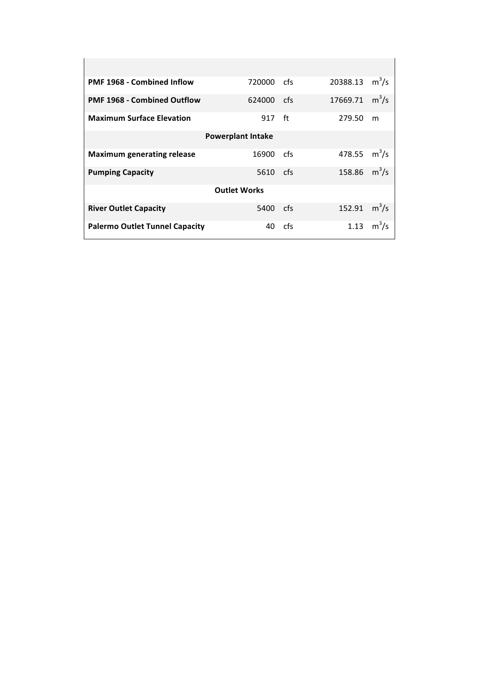| <b>PMF 1968 - Combined Inflow</b>     | 720000 | cfs | 20388.13       | $m^3/s$      |  |  |  |  |  |
|---------------------------------------|--------|-----|----------------|--------------|--|--|--|--|--|
| <b>PMF 1968 - Combined Outflow</b>    | 624000 | cfs | 17669.71       | $m^3/s$      |  |  |  |  |  |
| <b>Maximum Surface Elevation</b>      | 917 ft |     | 279.50         | m            |  |  |  |  |  |
| <b>Powerplant Intake</b>              |        |     |                |              |  |  |  |  |  |
| <b>Maximum generating release</b>     | 16900  | cfs | 478.55 $m^3/s$ |              |  |  |  |  |  |
| <b>Pumping Capacity</b>               | 5610   | cfs | 158.86 $m^3/s$ |              |  |  |  |  |  |
| <b>Outlet Works</b>                   |        |     |                |              |  |  |  |  |  |
| <b>River Outlet Capacity</b>          | 5400   | cfs | 152.91         | $m^3/s$      |  |  |  |  |  |
| <b>Palermo Outlet Tunnel Capacity</b> | 40     | cfs |                | 1.13 $m^3/s$ |  |  |  |  |  |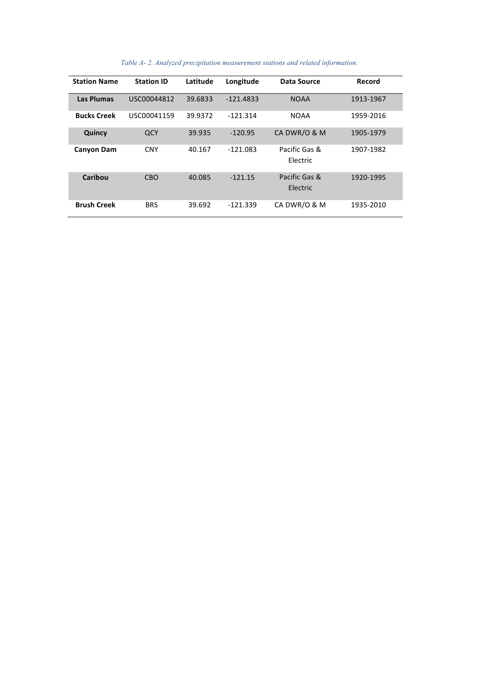| <b>Station Name</b> | <b>Station ID</b> | Latitude | Longitude   | Data Source               | Record    |
|---------------------|-------------------|----------|-------------|---------------------------|-----------|
| <b>Las Plumas</b>   | USC00044812       | 39.6833  | $-121.4833$ | <b>NOAA</b>               | 1913-1967 |
| <b>Bucks Creek</b>  | USC00041159       | 39.9372  | $-121.314$  | <b>NOAA</b>               | 1959-2016 |
| Quincy              | QCY               | 39.935   | $-120.95$   | CA DWR/O & M              | 1905-1979 |
| <b>Canyon Dam</b>   | <b>CNY</b>        | 40.167   | $-121.083$  | Pacific Gas &<br>Electric | 1907-1982 |
| Caribou             | <b>CBO</b>        | 40.085   | $-121.15$   | Pacific Gas &<br>Electric | 1920-1995 |
| <b>Brush Creek</b>  | <b>BRS</b>        | 39.692   | $-121.339$  | CA DWR/O & M              | 1935-2010 |

*Table A- 2. Analyzed precipitation measurement stations and related information.*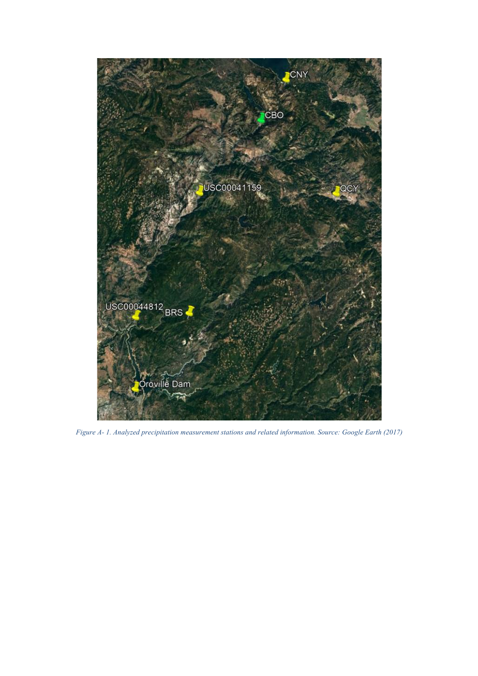

*Figure A- 1. Analyzed precipitation measurement stations and related information. Source: Google Earth (2017)*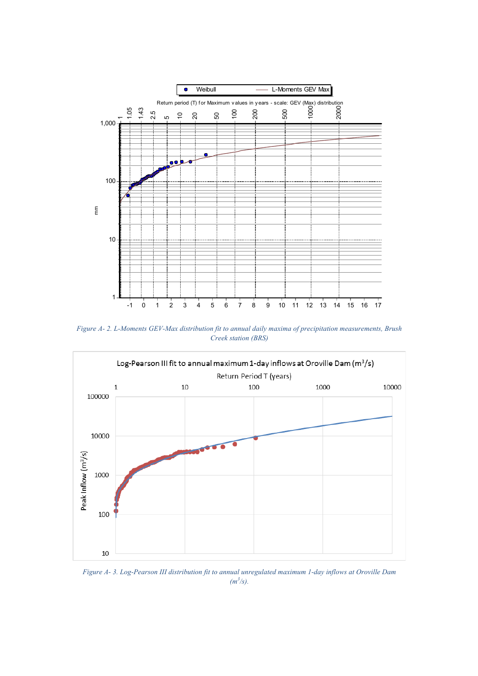

*Figure A- 2. L-Moments GEV-Max distribution fit to annual daily maxima of precipitation measurements, Brush Creek station (BRS)*



*Figure A- 3. Log-Pearson III distribution fit to annual unregulated maximum 1-day inflows at Oroville Dam*   $(m^3/s)$ .